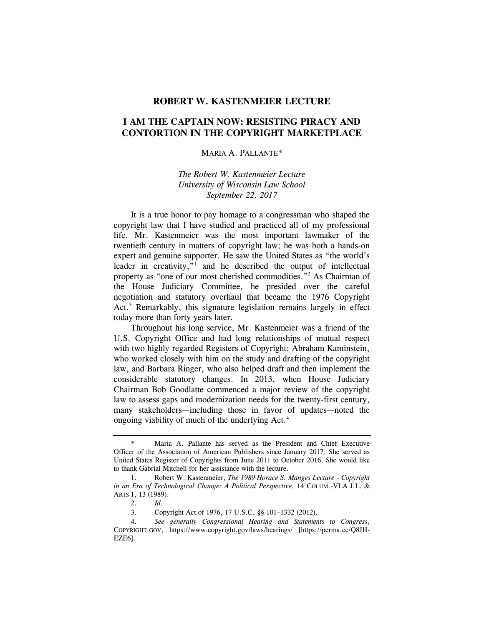## **ROBERT W. KASTENMEIER LECTURE**

## **I AM THE CAPTAIN NOW: RESISTING PIRACY AND CONTORTION IN THE COPYRIGHT MARKETPLACE**

## MARIA A. PALLANTE\*

## *The Robert W. Kastenmeier Lecture University of Wisconsin Law School September 22, 2017*

It is a true honor to pay homage to a congressman who shaped the copyright law that I have studied and practiced all of my professional life. Mr. Kastenmeier was the most important lawmaker of the twentieth century in matters of copyright law; he was both a hands-on expert and genuine supporter. He saw the United States as "the world's leader in creativity,"<sup>1</sup> and he described the output of intellectual property as "one of our most cherished commodities."<sup>2</sup> As Chairman of the House Judiciary Committee, he presided over the careful negotiation and statutory overhaul that became the 1976 Copyright Act.<sup>3</sup> Remarkably, this signature legislation remains largely in effect today more than forty years later.

Throughout his long service, Mr. Kastenmeier was a friend of the U.S. Copyright Office and had long relationships of mutual respect with two highly regarded Registers of Copyright: Abraham Kaminstein, who worked closely with him on the study and drafting of the copyright law, and Barbara Ringer, who also helped draft and then implement the considerable statutory changes. In 2013, when House Judiciary Chairman Bob Goodlatte commenced a major review of the copyright law to assess gaps and modernization needs for the twenty-first century, many stakeholders—including those in favor of updates—noted the ongoing viability of much of the underlying Act.<sup>4</sup>

Maria A. Pallante has served as the President and Chief Executive Officer of the Association of American Publishers since January 2017. She served as United States Register of Copyrights from June 2011 to October 2016. She would like to thank Gabrial Mitchell for her assistance with the lecture.

 <sup>1.</sup> Robert W. Kastenmeier, *The 1989 Horace S. Manges Lecture - Copyright in an Era of Technological Change: A Political Perspective*, 14 COLUM.-VLA J.L. & ARTS 1, 13 (1989).

 <sup>2.</sup> *Id.* 

 <sup>3.</sup> Copyright Act of 1976, 17 U.S.C. §§ 101–1332 (2012).

 <sup>4.</sup> *See generally Congressional Hearing and Statements to Congress*, COPYRIGHT.GOV, https://www.copyright.gov/laws/hearings/ [https://perma.cc/Q8JH-EZE6].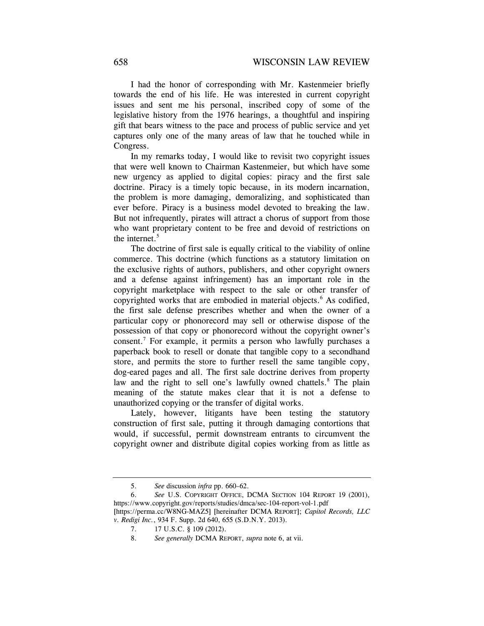I had the honor of corresponding with Mr. Kastenmeier briefly towards the end of his life. He was interested in current copyright issues and sent me his personal, inscribed copy of some of the legislative history from the 1976 hearings, a thoughtful and inspiring gift that bears witness to the pace and process of public service and yet captures only one of the many areas of law that he touched while in Congress.

In my remarks today, I would like to revisit two copyright issues that were well known to Chairman Kastenmeier, but which have some new urgency as applied to digital copies: piracy and the first sale doctrine. Piracy is a timely topic because, in its modern incarnation, the problem is more damaging, demoralizing, and sophisticated than ever before. Piracy is a business model devoted to breaking the law. But not infrequently, pirates will attract a chorus of support from those who want proprietary content to be free and devoid of restrictions on the internet. $5$ 

The doctrine of first sale is equally critical to the viability of online commerce. This doctrine (which functions as a statutory limitation on the exclusive rights of authors, publishers, and other copyright owners and a defense against infringement) has an important role in the copyright marketplace with respect to the sale or other transfer of copyrighted works that are embodied in material objects.<sup>6</sup> As codified, the first sale defense prescribes whether and when the owner of a particular copy or phonorecord may sell or otherwise dispose of the possession of that copy or phonorecord without the copyright owner's consent.7 For example, it permits a person who lawfully purchases a paperback book to resell or donate that tangible copy to a secondhand store, and permits the store to further resell the same tangible copy, dog-eared pages and all. The first sale doctrine derives from property law and the right to sell one's lawfully owned chattels.<sup>8</sup> The plain meaning of the statute makes clear that it is not a defense to unauthorized copying or the transfer of digital works.

Lately, however, litigants have been testing the statutory construction of first sale, putting it through damaging contortions that would, if successful, permit downstream entrants to circumvent the copyright owner and distribute digital copies working from as little as

<sup>5.</sup> *See* discussion *infra* pp. 660–62.

<sup>6.</sup> *See* U.S. COPYRIGHT OFFICE, DCMA SECTION 104 REPORT 19 (2001), https://www.copyright.gov/reports/studies/dmca/sec-104-report-vol-1.pdf

<sup>[</sup>https://perma.cc/W8NG-MAZ5] [hereinafter DCMA REPORT]; *Capitol Records, LLC v. Redigi Inc.*, 934 F. Supp. 2d 640, 655 (S.D.N.Y. 2013).

 <sup>7. 17</sup> U.S.C. § 109 (2012).

<sup>8.</sup> *See generally* DCMA REPORT, *supra* note 6, at vii.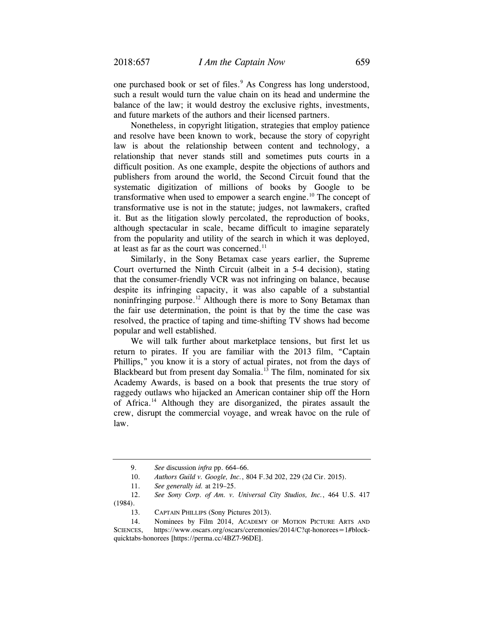one purchased book or set of files.<sup>9</sup> As Congress has long understood, such a result would turn the value chain on its head and undermine the balance of the law; it would destroy the exclusive rights, investments, and future markets of the authors and their licensed partners.

Nonetheless, in copyright litigation, strategies that employ patience and resolve have been known to work, because the story of copyright law is about the relationship between content and technology, a relationship that never stands still and sometimes puts courts in a difficult position. As one example, despite the objections of authors and publishers from around the world, the Second Circuit found that the systematic digitization of millions of books by Google to be transformative when used to empower a search engine.<sup>10</sup> The concept of transformative use is not in the statute; judges, not lawmakers, crafted it. But as the litigation slowly percolated, the reproduction of books, although spectacular in scale, became difficult to imagine separately from the popularity and utility of the search in which it was deployed, at least as far as the court was concerned.<sup>11</sup>

Similarly, in the Sony Betamax case years earlier, the Supreme Court overturned the Ninth Circuit (albeit in a 5-4 decision), stating that the consumer-friendly VCR was not infringing on balance, because despite its infringing capacity, it was also capable of a substantial noninfringing purpose.<sup>12</sup> Although there is more to Sony Betamax than the fair use determination, the point is that by the time the case was resolved, the practice of taping and time-shifting TV shows had become popular and well established.

We will talk further about marketplace tensions, but first let us return to pirates. If you are familiar with the 2013 film, "Captain Phillips," you know it is a story of actual pirates, not from the days of Blackbeard but from present day Somalia.<sup>13</sup> The film, nominated for six Academy Awards, is based on a book that presents the true story of raggedy outlaws who hijacked an American container ship off the Horn of Africa.14 Although they are disorganized, the pirates assault the crew, disrupt the commercial voyage, and wreak havoc on the rule of law.

 12. *See Sony Corp. of Am. v. Universal City Studios, Inc.*, 464 U.S. 417 (1984).

 <sup>9.</sup> *See* discussion *infra* pp. 664–66.

 <sup>10.</sup> *Authors Guild v. Google, Inc.*, 804 F.3d 202, 229 (2d Cir. 2015).

 <sup>11.</sup> *See generally id.* at 219–25.

 <sup>13.</sup> CAPTAIN PHILLIPS (Sony Pictures 2013).

 <sup>14.</sup> Nominees by Film 2014, ACADEMY OF MOTION PICTURE ARTS AND SCIENCES, https://www.oscars.org/oscars/ceremonies/2014/C?qt-honorees=1#blockquicktabs-honorees [https://perma.cc/4BZ7-96DE].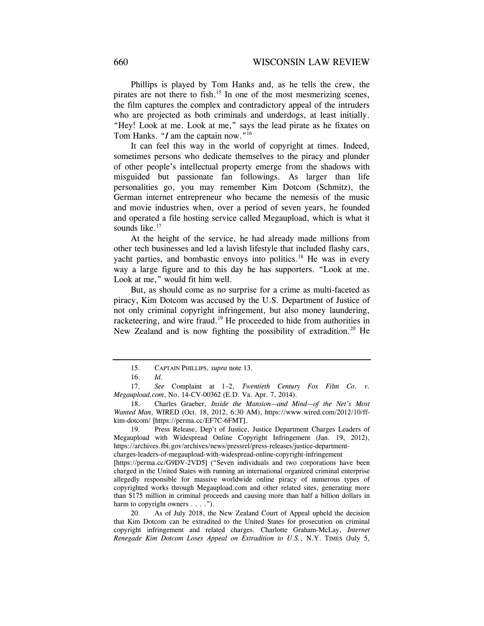Phillips is played by Tom Hanks and, as he tells the crew, the pirates are not there to fish.<sup>15</sup> In one of the most mesmerizing scenes, the film captures the complex and contradictory appeal of the intruders who are projected as both criminals and underdogs, at least initially. "Hey! Look at me. Look at me," says the lead pirate as he fixates on Tom Hanks. "*I* am the captain now."<sup>16</sup>

It can feel this way in the world of copyright at times. Indeed, sometimes persons who dedicate themselves to the piracy and plunder of other people's intellectual property emerge from the shadows with misguided but passionate fan followings. As larger than life personalities go, you may remember Kim Dotcom (Schmitz), the German internet entrepreneur who became the nemesis of the music and movie industries when, over a period of seven years, he founded and operated a file hosting service called Megaupload, which is what it sounds like. $17$ 

At the height of the service, he had already made millions from other tech businesses and led a lavish lifestyle that included flashy cars, yacht parties, and bombastic envoys into politics.<sup>18</sup> He was in every way a large figure and to this day he has supporters. "Look at me. Look at me," would fit him well.

But, as should come as no surprise for a crime as multi-faceted as piracy, Kim Dotcom was accused by the U.S. Department of Justice of not only criminal copyright infringement, but also money laundering, racketeering, and wire fraud.<sup>19</sup> He proceeded to hide from authorities in New Zealand and is now fighting the possibility of extradition.<sup>20</sup> He

 <sup>15.</sup> CAPTAIN PHILLIPS, *supra* note 13.

 <sup>16.</sup> *Id.*

 <sup>17.</sup> *See* Complaint at 1–2, *Twentieth Century Fox Film Co. v. Megaupload.com*, No. 14-CV-00362 (E.D. Va. Apr. 7, 2014).

 <sup>18.</sup> Charles Graeber, *Inside the Mansion—and Mind—of the Net's Most Wanted Man*, WIRED (Oct. 18, 2012, 6:30 AM), https://www.wired.com/2012/10/ffkim-dotcom/ [https://perma.cc/EF7C-6FMT].

 <sup>19.</sup> Press Release, Dep't of Justice, Justice Department Charges Leaders of Megaupload with Widespread Online Copyright Infringement (Jan. 19, 2012), https://archives.fbi.gov/archives/news/pressrel/press-releases/justice-department-

charges-leaders-of-megaupload-with-widespread-online-copyright-infringement

<sup>[</sup>https://perma.cc/G9DV-2VD5] ("Seven individuals and two corporations have been charged in the United States with running an international organized criminal enterprise allegedly responsible for massive worldwide online piracy of numerous types of copyrighted works through Megaupload.com and other related sites, generating more than \$175 million in criminal proceeds and causing more than half a billion dollars in harm to copyright owners . . . .").

 <sup>20.</sup> As of July 2018, the New Zealand Court of Appeal upheld the decision that Kim Dotcom can be extradited to the United States for prosecution on criminal copyright infringement and related charges. Charlotte Graham-McLay, *Internet Renegade Kim Dotcom Loses Appeal on Extradition to U.S.*, N.Y. TIMES (July 5,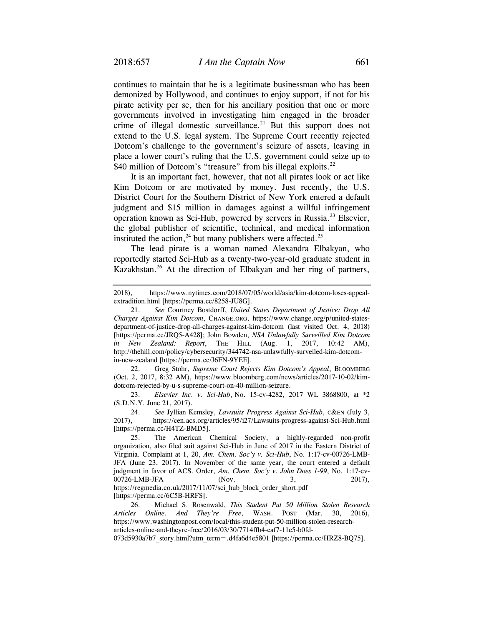continues to maintain that he is a legitimate businessman who has been demonized by Hollywood, and continues to enjoy support, if not for his pirate activity per se, then for his ancillary position that one or more governments involved in investigating him engaged in the broader crime of illegal domestic surveillance.<sup>21</sup> But this support does not extend to the U.S. legal system. The Supreme Court recently rejected Dotcom's challenge to the government's seizure of assets, leaving in place a lower court's ruling that the U.S. government could seize up to \$40 million of Dotcom's "treasure" from his illegal exploits.<sup>22</sup>

It is an important fact, however, that not all pirates look or act like Kim Dotcom or are motivated by money. Just recently, the U.S. District Court for the Southern District of New York entered a default judgment and \$15 million in damages against a willful infringement operation known as Sci-Hub, powered by servers in Russia.23 Elsevier, the global publisher of scientific, technical, and medical information instituted the action,<sup>24</sup> but many publishers were affected.<sup>25</sup>

The lead pirate is a woman named Alexandra Elbakyan, who reportedly started Sci-Hub as a twenty-two-year-old graduate student in Kazakhstan.<sup>26</sup> At the direction of Elbakyan and her ring of partners,

 22. Greg Stohr, *Supreme Court Rejects Kim Dotcom's Appeal*, BLOOMBERG (Oct. 2, 2017, 8:32 AM), https://www.bloomberg.com/news/articles/2017-10-02/kimdotcom-rejected-by-u-s-supreme-court-on-40-million-seizure.

 23. *Elsevier Inc. v. Sci-Hub*, No. 15-cv-4282, 2017 WL 3868800, at \*2 (S.D.N.Y. June 21, 2017).

 24. *See* Jyllian Kemsley, *Lawsuits Progress Against Sci-Hub*, C&EN (July 3, 2017), https://cen.acs.org/articles/95/i27/Lawsuits-progress-against-Sci-Hub.html [https://perma.cc/H4TZ-BMD5].

[https://perma.cc/6C5B-HRFS].

 26. Michael S. Rosenwald, *This Student Put 50 Million Stolen Research Articles Online. And They're Free*, WASH. POST (Mar. 30, 2016), https://www.washingtonpost.com/local/this-student-put-50-million-stolen-researcharticles-online-and-theyre-free/2016/03/30/7714ffb4-eaf7-11e5-b0fd-

073d5930a7b7\_story.html?utm\_term=.d4fa6d4e5801 [https://perma.cc/HRZ8-BQ75].

<sup>2018),</sup> https://www.nytimes.com/2018/07/05/world/asia/kim-dotcom-loses-appealextradition.html [https://perma.cc/8258-JU8G].

 <sup>21.</sup> *See* Courtney Bostdorff, *United States Department of Justice: Drop All Charges Against Kim Dotcom*, CHANGE.ORG, https://www.change.org/p/united-statesdepartment-of-justice-drop-all-charges-against-kim-dotcom (last visited Oct. 4, 2018) [https://perma.cc/JRQ5-A428]; John Bowden, *NSA Unlawfully Surveilled Kim Dotcom in New Zealand: Report*, THE HILL (Aug. 1, 2017, 10:42 AM), http://thehill.com/policy/cybersecurity/344742-nsa-unlawfully-surveiled-kim-dotcomin-new-zealand [https://perma.cc/J6FN-9YEE].

 <sup>25.</sup> The American Chemical Society, a highly-regarded non-profit organization, also filed suit against Sci-Hub in June of 2017 in the Eastern District of Virginia. Complaint at 1, 20, *Am. Chem. Soc'y v. Sci-Hub*, No. 1:17-cv-00726-LMB-JFA (June 23, 2017). In November of the same year, the court entered a default judgment in favor of ACS. Order, *Am. Chem. Soc'y v. John Does 1-99*, No. 1:17-cv-00726-LMB-JFA (Nov. 3, 2017), https://regmedia.co.uk/2017/11/07/sci\_hub\_block\_order\_short.pdf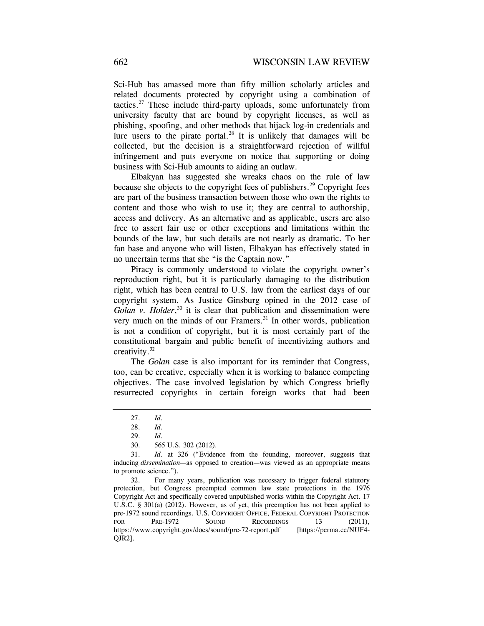Sci-Hub has amassed more than fifty million scholarly articles and related documents protected by copyright using a combination of tactics.<sup>27</sup> These include third-party uploads, some unfortunately from university faculty that are bound by copyright licenses, as well as phishing, spoofing, and other methods that hijack log-in credentials and lure users to the pirate portal.<sup>28</sup> It is unlikely that damages will be collected, but the decision is a straightforward rejection of willful infringement and puts everyone on notice that supporting or doing business with Sci-Hub amounts to aiding an outlaw.

Elbakyan has suggested she wreaks chaos on the rule of law because she objects to the copyright fees of publishers.<sup>29</sup> Copyright fees are part of the business transaction between those who own the rights to content and those who wish to use it; they are central to authorship, access and delivery. As an alternative and as applicable, users are also free to assert fair use or other exceptions and limitations within the bounds of the law, but such details are not nearly as dramatic. To her fan base and anyone who will listen, Elbakyan has effectively stated in no uncertain terms that she "is the Captain now."

Piracy is commonly understood to violate the copyright owner's reproduction right, but it is particularly damaging to the distribution right, which has been central to U.S. law from the earliest days of our copyright system. As Justice Ginsburg opined in the 2012 case of Golan v. Holder,<sup>30</sup> it is clear that publication and dissemination were very much on the minds of our Framers.<sup>31</sup> In other words, publication is not a condition of copyright, but it is most certainly part of the constitutional bargain and public benefit of incentivizing authors and creativity.32

The *Golan* case is also important for its reminder that Congress, too, can be creative, especially when it is working to balance competing objectives. The case involved legislation by which Congress briefly resurrected copyrights in certain foreign works that had been

 <sup>27.</sup> *Id.* 

 <sup>28.</sup> *Id.* 

 <sup>29.</sup> *Id.*

 <sup>30. 565</sup> U.S. 302 (2012).

 <sup>31.</sup> *Id.* at 326 ("Evidence from the founding, moreover, suggests that inducing *dissemination*—as opposed to creation—was viewed as an appropriate means to promote science.").

 <sup>32.</sup> For many years, publication was necessary to trigger federal statutory protection, but Congress preempted common law state protections in the 1976 Copyright Act and specifically covered unpublished works within the Copyright Act. 17 U.S.C. § 301(a) (2012). However, as of yet, this preemption has not been applied to pre-1972 sound recordings. U.S. COPYRIGHT OFFICE, FEDERAL COPYRIGHT PROTECTION FOR PRE-1972 SOUND RECORDINGS 13 (2011), https://www.copyright.gov/docs/sound/pre-72-report.pdf [https://perma.cc/NUF4- QJR2].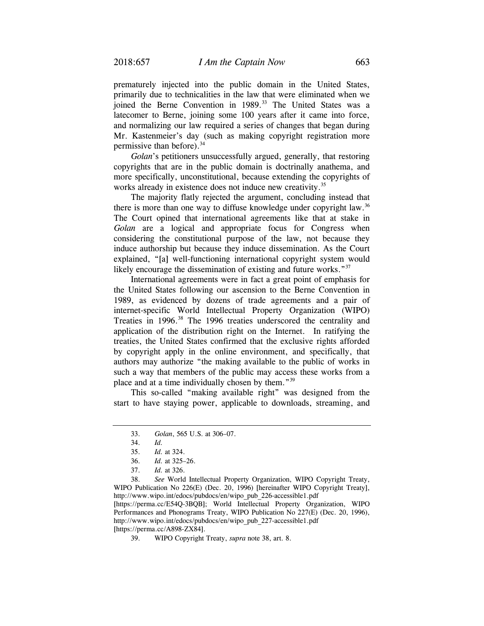prematurely injected into the public domain in the United States, primarily due to technicalities in the law that were eliminated when we joined the Berne Convention in 1989.<sup>33</sup> The United States was a latecomer to Berne, joining some 100 years after it came into force, and normalizing our law required a series of changes that began during Mr. Kastenmeier's day (such as making copyright registration more permissive than before).<sup>34</sup>

*Golan*'s petitioners unsuccessfully argued, generally, that restoring copyrights that are in the public domain is doctrinally anathema, and more specifically, unconstitutional, because extending the copyrights of works already in existence does not induce new creativity.<sup>35</sup>

The majority flatly rejected the argument, concluding instead that there is more than one way to diffuse knowledge under copyright law.<sup>36</sup> The Court opined that international agreements like that at stake in *Golan* are a logical and appropriate focus for Congress when considering the constitutional purpose of the law, not because they induce authorship but because they induce dissemination. As the Court explained, "[a] well-functioning international copyright system would likely encourage the dissemination of existing and future works."<sup>37</sup>

International agreements were in fact a great point of emphasis for the United States following our ascension to the Berne Convention in 1989, as evidenced by dozens of trade agreements and a pair of internet-specific World Intellectual Property Organization (WIPO) Treaties in 1996.<sup>38</sup> The 1996 treaties underscored the centrality and application of the distribution right on the Internet. In ratifying the treaties, the United States confirmed that the exclusive rights afforded by copyright apply in the online environment, and specifically, that authors may authorize "the making available to the public of works in such a way that members of the public may access these works from a place and at a time individually chosen by them."39

This so-called "making available right" was designed from the start to have staying power, applicable to downloads, streaming, and

 38. *See* World Intellectual Property Organization, WIPO Copyright Treaty, WIPO Publication No 226(E) (Dec. 20, 1996) [hereinafter WIPO Copyright Treaty], http://www.wipo.int/edocs/pubdocs/en/wipo\_pub\_226-accessible1.pdf [https://perma.cc/E54Q-3BQB]; World Intellectual Property Organization, WIPO Performances and Phonograms Treaty, WIPO Publication No 227(E) (Dec. 20, 1996), http://www.wipo.int/edocs/pubdocs/en/wipo\_pub\_227-accessible1.pdf [https://perma.cc/A898-ZX84].

39. WIPO Copyright Treaty, *supra* note 38, art. 8.

 <sup>33.</sup> *Golan*, 565 U.S. at 306–07.

 <sup>34.</sup> *Id.* 

 <sup>35.</sup> *Id.* at 324.

<sup>36.</sup> *Id.* at 325–26.

 <sup>37.</sup> *Id.* at 326.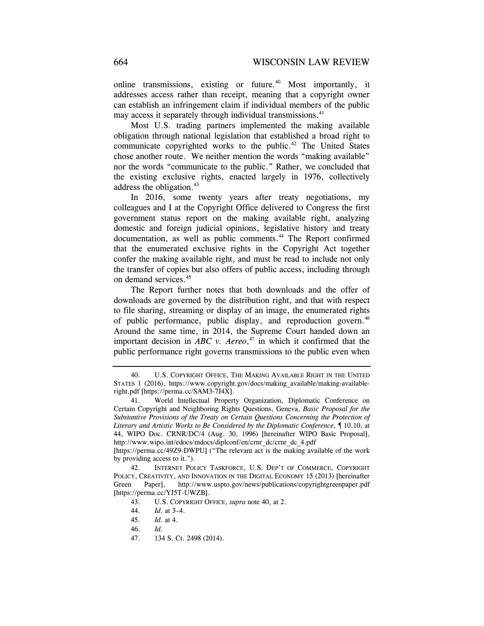online transmissions, existing or future.<sup>40</sup> Most importantly, it addresses access rather than receipt, meaning that a copyright owner can establish an infringement claim if individual members of the public may access it separately through individual transmissions.<sup>41</sup>

Most U.S. trading partners implemented the making available obligation through national legislation that established a broad right to communicate copyrighted works to the public.<sup>42</sup> The United States chose another route. We neither mention the words "making available" nor the words "communicate to the public." Rather, we concluded that the existing exclusive rights, enacted largely in 1976, collectively address the obligation.<sup>43</sup>

In 2016, some twenty years after treaty negotiations, my colleagues and I at the Copyright Office delivered to Congress the first government status report on the making available right, analyzing domestic and foreign judicial opinions, legislative history and treaty documentation, as well as public comments.<sup>44</sup> The Report confirmed that the enumerated exclusive rights in the Copyright Act together confer the making available right, and must be read to include not only the transfer of copies but also offers of public access, including through on demand services.45

The Report further notes that both downloads and the offer of downloads are governed by the distribution right, and that with respect to file sharing, streaming or display of an image, the enumerated rights of public performance, public display, and reproduction govern.<sup>46</sup> Around the same time, in 2014, the Supreme Court handed down an important decision in  $ABC$  v. Aereo,<sup>47</sup> in which it confirmed that the public performance right governs transmissions to the public even when

 <sup>40.</sup> U.S. COPYRIGHT OFFICE, THE MAKING AVAILABLE RIGHT IN THE UNITED STATES 1 (2016), https://www.copyright.gov/docs/making\_available/making-availableright.pdf [https://perma.cc/SAM3-7J4X].

<sup>41.</sup> World Intellectual Property Organization, Diplomatic Conference on Certain Copyright and Neighboring Rights Questions, Geneva, *Basic Proposal for the Substantive Provisions of the Treaty on Certain Questions Concerning the Protection of Literary and Artistic Works to Be Considered by the Diplomatic Conference*, ¶ 10.10, at 44, WIPO Doc. CRNR/DC/4 (Aug. 30, 1996) [hereinafter WIPO Basic Proposal], http://www.wipo.int/edocs/mdocs/diplconf/en/crnr\_dc/crnr\_dc\_4.pdf

<sup>[</sup>https://perma.cc/49Z9-DWPU] ("The relevant act is the making available of the work by providing access to it.").

 <sup>42.</sup> INTERNET POLICY TASKFORCE, U.S. DEP'T OF COMMERCE, COPYRIGHT POLICY, CREATIVITY, AND INNOVATION IN THE DIGITAL ECONOMY 15 (2013) [hereinafter Green Paper], http://www.uspto.gov/news/publications/copyrightgreenpaper.pdf [https://perma.cc/YJ5T-UWZB].

 <sup>43.</sup> U.S. COPYRIGHT OFFICE, *supra* note 40, at 2.

 <sup>44.</sup> *Id.* at 3–4.

 <sup>45.</sup> *Id.* at 4.

 <sup>46.</sup> *Id.* 

 <sup>47. 134</sup> S. Ct. 2498 (2014).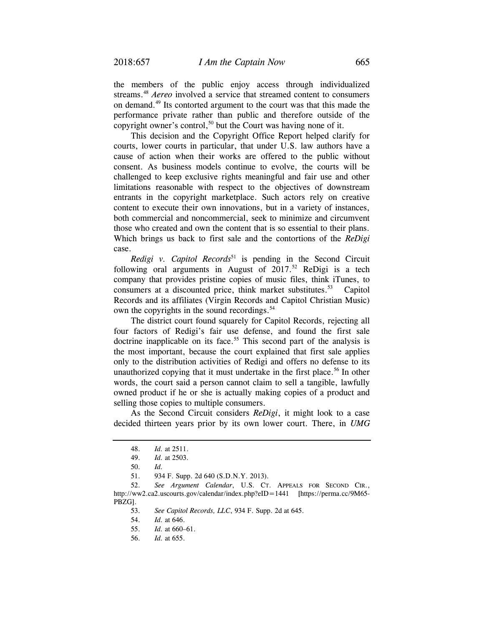the members of the public enjoy access through individualized streams.48 *Aereo* involved a service that streamed content to consumers on demand.49 Its contorted argument to the court was that this made the performance private rather than public and therefore outside of the copyright owner's control,<sup>50</sup> but the Court was having none of it.

This decision and the Copyright Office Report helped clarify for courts, lower courts in particular, that under U.S. law authors have a cause of action when their works are offered to the public without consent. As business models continue to evolve, the courts will be challenged to keep exclusive rights meaningful and fair use and other limitations reasonable with respect to the objectives of downstream entrants in the copyright marketplace. Such actors rely on creative content to execute their own innovations, but in a variety of instances, both commercial and noncommercial, seek to minimize and circumvent those who created and own the content that is so essential to their plans. Which brings us back to first sale and the contortions of the *ReDigi* case.

*Redigi v. Capitol Records*<sup>51</sup> is pending in the Second Circuit following oral arguments in August of  $2017$ .<sup>52</sup> ReDigi is a tech company that provides pristine copies of music files, think iTunes, to consumers at a discounted price, think market substitutes.<sup>53</sup> Capitol Records and its affiliates (Virgin Records and Capitol Christian Music) own the copyrights in the sound recordings.<sup>54</sup>

The district court found squarely for Capitol Records, rejecting all four factors of Redigi's fair use defense, and found the first sale doctrine inapplicable on its face.<sup>55</sup> This second part of the analysis is the most important, because the court explained that first sale applies only to the distribution activities of Redigi and offers no defense to its unauthorized copying that it must undertake in the first place.<sup>56</sup> In other words, the court said a person cannot claim to sell a tangible, lawfully owned product if he or she is actually making copies of a product and selling those copies to multiple consumers.

As the Second Circuit considers *ReDigi*, it might look to a case decided thirteen years prior by its own lower court. There, in *UMG* 

 <sup>48.</sup> *Id.* at 2511.

 <sup>49.</sup> *Id.* at 2503.

 <sup>50.</sup> *Id.*

 <sup>51. 934</sup> F. Supp. 2d 640 (S.D.N.Y. 2013).

 <sup>52.</sup> *See Argument Calendar*, U.S. CT. APPEALS FOR SECOND CIR., http://ww2.ca2.uscourts.gov/calendar/index.php?eID=1441 [https://perma.cc/9M65-PBZG].

 <sup>53.</sup> *See Capitol Records, LLC*, 934 F. Supp. 2d at 645.

 <sup>54.</sup> *Id.* at 646.

 <sup>55.</sup> *Id.* at 660–61.

 <sup>56.</sup> *Id.* at 655.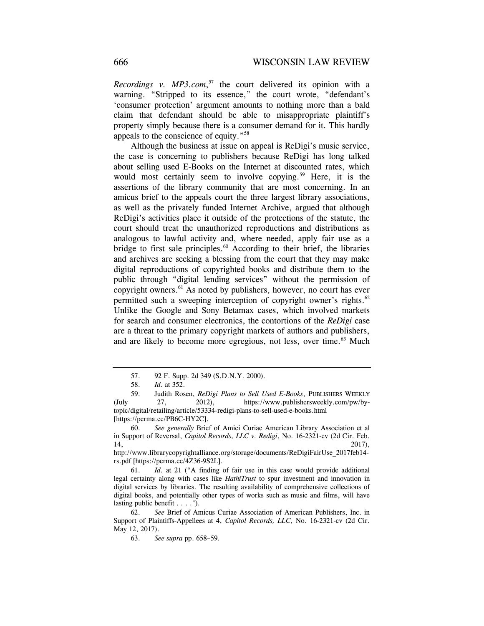*Recordings v. MP3.com*, 57 the court delivered its opinion with a warning. "Stripped to its essence," the court wrote, "defendant's 'consumer protection' argument amounts to nothing more than a bald claim that defendant should be able to misappropriate plaintiff's property simply because there is a consumer demand for it. This hardly appeals to the conscience of equity."58

Although the business at issue on appeal is ReDigi's music service, the case is concerning to publishers because ReDigi has long talked about selling used E-Books on the Internet at discounted rates, which would most certainly seem to involve copying.<sup>59</sup> Here, it is the assertions of the library community that are most concerning. In an amicus brief to the appeals court the three largest library associations, as well as the privately funded Internet Archive, argued that although ReDigi's activities place it outside of the protections of the statute, the court should treat the unauthorized reproductions and distributions as analogous to lawful activity and, where needed, apply fair use as a bridge to first sale principles. $60$  According to their brief, the libraries and archives are seeking a blessing from the court that they may make digital reproductions of copyrighted books and distribute them to the public through "digital lending services" without the permission of copyright owners.61 As noted by publishers, however, no court has ever permitted such a sweeping interception of copyright owner's rights.<sup>62</sup> Unlike the Google and Sony Betamax cases, which involved markets for search and consumer electronics, the contortions of the *ReDigi* case are a threat to the primary copyright markets of authors and publishers, and are likely to become more egregious, not less, over time.<sup>63</sup> Much

 <sup>57. 92</sup> F. Supp. 2d 349 (S.D.N.Y. 2000).

 <sup>58.</sup> *Id.* at 352.

 <sup>59.</sup> Judith Rosen, *ReDigi Plans to Sell Used E-Books*, PUBLISHERS WEEKLY (July 27, 2012), https://www.publishersweekly.com/pw/bytopic/digital/retailing/article/53334-redigi-plans-to-sell-used-e-books.html [https://perma.cc/PB6C-HY2C].

 <sup>60.</sup> *See generally* Brief of Amici Curiae American Library Association et al in Support of Reversal, *Capitol Records, LLC v. Redigi*, No. 16-2321-cv (2d Cir. Feb. 14, 2017),

http://www.librarycopyrightalliance.org/storage/documents/ReDigiFairUse\_2017feb14 rs.pdf [https://perma.cc/4Z36-9S2L].

 <sup>61.</sup> *Id.* at 21 ("A finding of fair use in this case would provide additional legal certainty along with cases like *HathiTrust* to spur investment and innovation in digital services by libraries. The resulting availability of comprehensive collections of digital books, and potentially other types of works such as music and films, will have lasting public benefit . . . .").

 <sup>62.</sup> *See* Brief of Amicus Curiae Association of American Publishers, Inc. in Support of Plaintiffs-Appellees at 4, *Capitol Records, LLC*, No. 16-2321-cv (2d Cir. May 12, 2017).

 <sup>63.</sup> *See supra* pp. 658–59.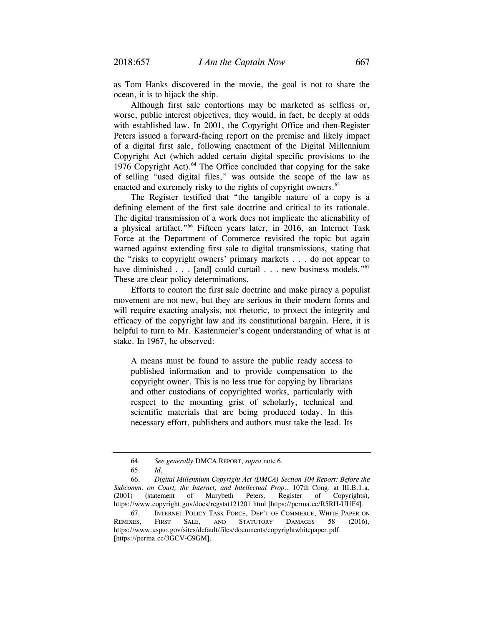as Tom Hanks discovered in the movie, the goal is not to share the ocean, it is to hijack the ship.

Although first sale contortions may be marketed as selfless or, worse, public interest objectives, they would, in fact, be deeply at odds with established law. In 2001, the Copyright Office and then-Register Peters issued a forward-facing report on the premise and likely impact of a digital first sale, following enactment of the Digital Millennium Copyright Act (which added certain digital specific provisions to the 1976 Copyright Act).<sup>64</sup> The Office concluded that copying for the sake of selling "used digital files," was outside the scope of the law as enacted and extremely risky to the rights of copyright owners.<sup>65</sup>

The Register testified that "the tangible nature of a copy is a defining element of the first sale doctrine and critical to its rationale. The digital transmission of a work does not implicate the alienability of a physical artifact."66 Fifteen years later, in 2016, an Internet Task Force at the Department of Commerce revisited the topic but again warned against extending first sale to digital transmissions, stating that the "risks to copyright owners' primary markets . . . do not appear to have diminished . . . [and] could curtail . . . new business models."<sup>67</sup> These are clear policy determinations.

Efforts to contort the first sale doctrine and make piracy a populist movement are not new, but they are serious in their modern forms and will require exacting analysis, not rhetoric, to protect the integrity and efficacy of the copyright law and its constitutional bargain. Here, it is helpful to turn to Mr. Kastenmeier's cogent understanding of what is at stake. In 1967, he observed:

A means must be found to assure the public ready access to published information and to provide compensation to the copyright owner. This is no less true for copying by librarians and other custodians of copyrighted works, particularly with respect to the mounting grist of scholarly, technical and scientific materials that are being produced today. In this necessary effort, publishers and authors must take the lead. Its

 <sup>64.</sup> *See generally* DMCA REPORT, *supra* note 6.

 <sup>65.</sup> *Id.* 

 <sup>66.</sup> *Digital Millennium Copyright Act (DMCA) Section 104 Report: Before the Subcomm. on Court, the Internet, and Intellectual Prop.*, 107th Cong. at III.B.1.a. (2001) (statement of Marybeth Peters, Register of Copyrights), https://www.copyright.gov/docs/regstat121201.html [https://perma.cc/R5RH-UUF4].

 <sup>67.</sup> INTERNET POLICY TASK FORCE, DEP'T OF COMMERCE, WHITE PAPER ON REMIXES, FIRST SALE, AND STATUTORY DAMAGES 58 (2016), https://www.uspto.gov/sites/default/files/documents/copyrightwhitepaper.pdf [https://perma.cc/3GCV-G9GM].